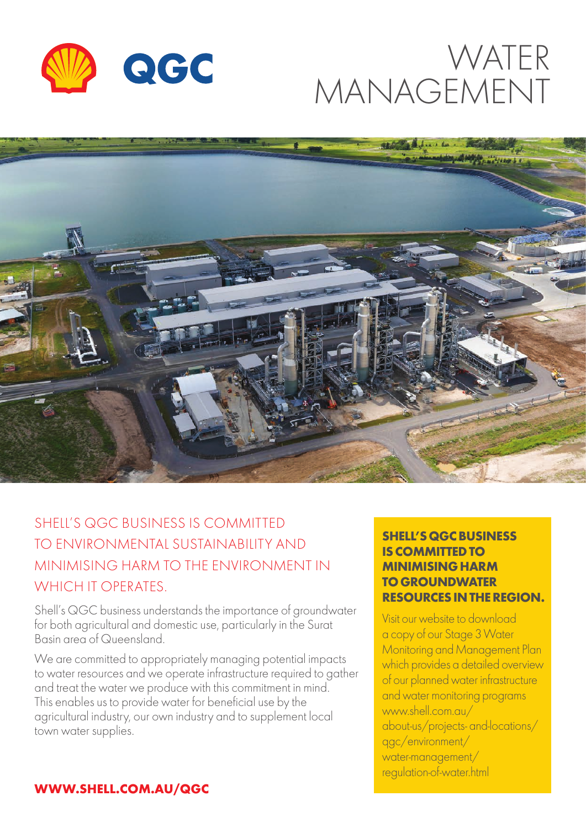

# WATER MANAGEMENT



# SHELL'S QGC BUSINESS IS COMMITTED TO ENVIRONMENTAL SUSTAINABILITY AND MINIMISING HARM TO THE ENVIRONMENT IN WHICH IT OPERATES

Shell's QGC business understands the importance of groundwater for both agricultural and domestic use, particularly in the Surat Basin area of Queensland.

We are committed to appropriately managing potential impacts to water resources and we operate infrastructure required to gather and treat the water we produce with this commitment in mind. This enables us to provide water for beneficial use by the agricultural industry, our own industry and to supplement local town water supplies.

#### **SHELL'S QGC BUSINESS IS COMMITTED TO MINIMISING HARM TO GROUNDWATER RESOURCES IN THE REGION.**

Visit our website to download a copy of our Stage 3 Water Monitoring and Management Plan which provides a detailed overview of our planned water infrastructure and water monitoring programs www.shell.com.au/ about-us/projects- and-locations/ qgc/environment/ water-management/ regulation-of-water.html

#### **WWW.SHELL.COM.AU/QGC**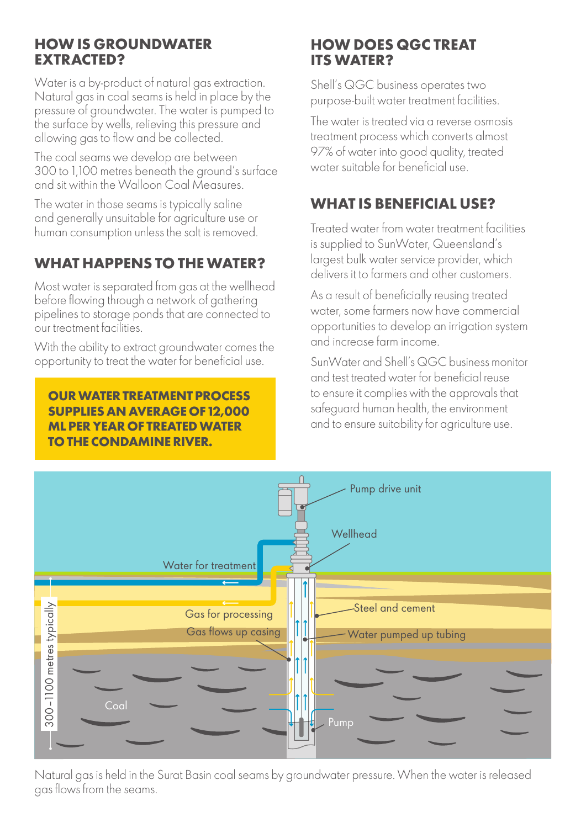#### **HOW IS GROUNDWATER EXTRACTED?**

Water is a by-product of natural gas extraction. Natural gas in coal seams is held in place by the pressure of groundwater. The water is pumped to the surface by wells, relieving this pressure and allowing gas to flow and be collected.

The coal seams we develop are between 300 to 1,100 metres beneath the ground's surface and sit within the Walloon Coal Measures.

The water in those seams is typically saline and generally unsuitable for agriculture use or human consumption unless the salt is removed.

# **WHAT HAPPENS TO THE WATER?**

Most water is separated from gas at the wellhead before flowing through a network of gathering pipelines to storage ponds that are connected to our treatment facilities.

With the ability to extract groundwater comes the opportunity to treat the water for beneficial use.

#### **Well diagram OUR WATER TREATMENT PROCESS SUPPLIES AN AVERAGE OF 12,000 ML PER YEAR OF TREATED WATER TO THE CONDAMINE RIVER.**

#### **HOW DOES QGC TREAT ITS WATER?**

Shell's QGC business operates two purpose-built water treatment facilities.

The water is treated via a reverse osmosis treatment process which converts almost 97% of water into good quality, treated water suitable for beneficial use.

# **WHAT IS BENEFICIAL USE?**

Treated water from water treatment facilities is supplied to SunWater, Queensland's largest bulk water service provider, which delivers it to farmers and other customers.

As a result of beneficially reusing treated water, some farmers now have commercial opportunities to develop an irrigation system and increase farm income.

SunWater and Shell's QGC business monitor and test treated water for beneficial reuse to ensure it complies with the approvals that safeguard human health, the environment and to ensure suitability for agriculture use.



Natural gas is held in the Surat Basin coal seams by groundwater pressure. When the water is released gas flows from the seams.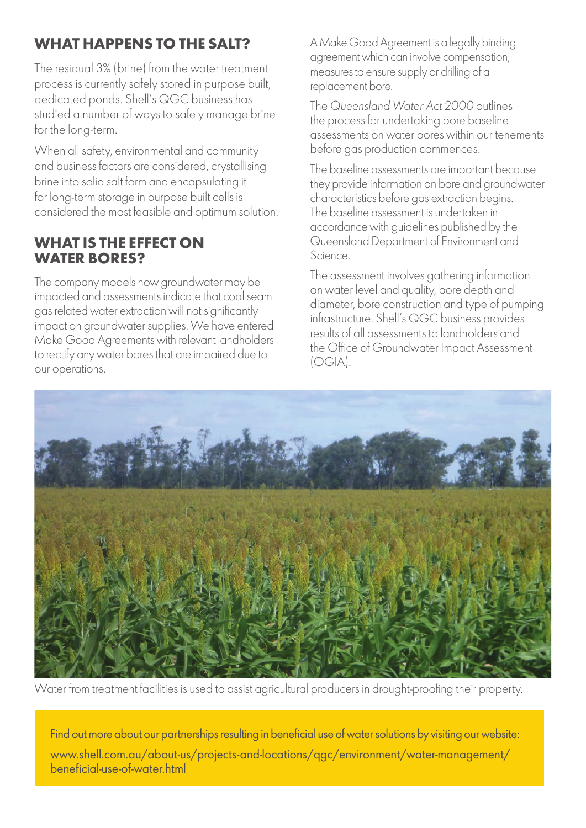## **WHAT HAPPENS TO THE SALT?**

The residual 3% (brine) from the water treatment process is currently safely stored in purpose built, dedicated ponds. Shell's QGC business has studied a number of ways to safely manage brine for the long-term.

When all safety, environmental and community and business factors are considered, crystallising brine into solid salt form and encapsulating it for long-term storage in purpose built cells is considered the most feasible and optimum solution.

#### **WHAT IS THE EFFECT ON WATER BORES?**

The company models how groundwater may be impacted and assessments indicate that coal seam gas related water extraction will not significantly impact on groundwater supplies. We have entered Make Good Agreements with relevant landholders to rectify any water bores that are impaired due to our operations.

A Make Good Agreement is a legally binding agreement which can involve compensation, measures to ensure supply or drilling of a replacement bore.

The *Queensland Water Act 2000* outlines the process for undertaking bore baseline assessments on water bores within our tenements before gas production commences.

The baseline assessments are important because they provide information on bore and groundwater characteristics before gas extraction begins. The baseline assessment is undertaken in accordance with guidelines published by the Queensland Department of Environment and Science.

The assessment involves gathering information on water level and quality, bore depth and diameter, bore construction and type of pumping infrastructure. Shell's QGC business provides results of all assessments to landholders and the Office of Groundwater Impact Assessment (OGIA).



Water from treatment facilities is used to assist agricultural producers in drought-proofing their property.

Find out more about our partnerships resulting in beneficial use of water solutions by visiting our website: www.shell.com.au/about-us/projects-and-locations/qgc/environment/water-management/ beneficial-use-of-water.html